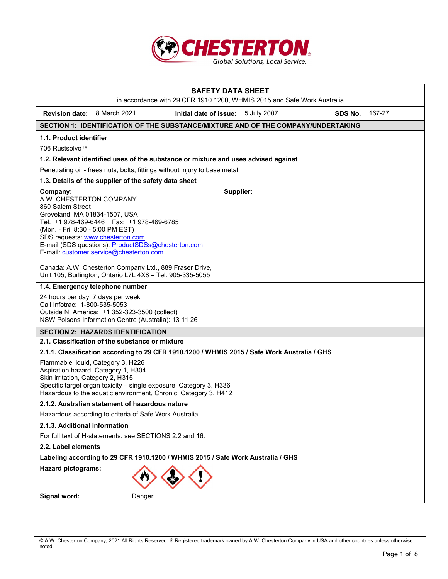

# **SAFETY DATA SHEET**  in accordance with 29 CFR 1910.1200, WHMIS 2015 and Safe Work Australia **Revision date:** 8 March 2021 **Initial date of issue:** 5 July 2007 **SDS No.** 167-27 **SECTION 1: IDENTIFICATION OF THE SUBSTANCE/MIXTURE AND OF THE COMPANY/UNDERTAKING 1.1. Product identifier**  706 Rustsolvo™ **1.2. Relevant identified uses of the substance or mixture and uses advised against**  Penetrating oil - frees nuts, bolts, fittings without injury to base metal. **1.3. Details of the supplier of the safety data sheet Company:** A.W. CHESTERTON COMPANY 860 Salem Street Groveland, MA 01834-1507, USA Tel. +1 978-469-6446 Fax: +1 978-469-6785 (Mon. - Fri. 8:30 - 5:00 PM EST) SDS requests: www.chesterton.com E-mail (SDS questions): ProductSDSs@chesterton.com E-mail: customer.service@chesterton.com Canada: A.W. Chesterton Company Ltd., 889 Fraser Drive, Unit 105, Burlington, Ontario L7L 4X8 – Tel. 905-335-5055 **Supplier: 1.4. Emergency telephone number**  24 hours per day, 7 days per week Call Infotrac: 1-800-535-5053 Outside N. America: +1 352-323-3500 (collect) NSW Poisons Information Centre (Australia): 13 11 26 **SECTION 2: HAZARDS IDENTIFICATION 2.1. Classification of the substance or mixture 2.1.1. Classification according to 29 CFR 1910.1200 / WHMIS 2015 / Safe Work Australia / GHS**  Flammable liquid, Category 3, H226 Aspiration hazard, Category 1, H304 Skin irritation, Category 2, H315 Specific target organ toxicity – single exposure, Category 3, H336 Hazardous to the aquatic environment, Chronic, Category 3, H412 **2.1.2. Australian statement of hazardous nature**  Hazardous according to criteria of Safe Work Australia. **2.1.3. Additional information**  For full text of H-statements: see SECTIONS 2.2 and 16. **2.2. Label elements Labeling according to 29 CFR 1910.1200 / WHMIS 2015 / Safe Work Australia / GHS Hazard pictograms: Signal word:** Danger

<sup>©</sup> A.W. Chesterton Company, 2021 All Rights Reserved. ® Registered trademark owned by A.W. Chesterton Company in USA and other countries unless otherwise noted.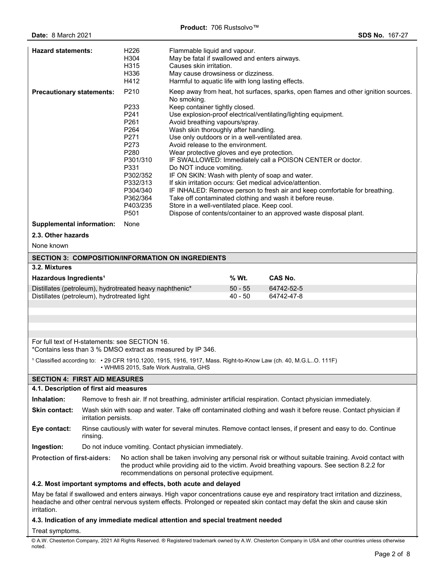| <b>Hazard statements:</b>                                                                                                                                                                                                                                                                         |                                                                                                                                                           | H <sub>226</sub><br>H304<br>H315<br>H336<br>H412                                                                                             | Flammable liquid and vapour.<br>May be fatal if swallowed and enters airways.<br>Causes skin irritation.                                                                                                                                                                                                                                                                                                                                                                                                                                                                                                                                                                                                                                                                                                                                                           |                        |                                                                    |
|---------------------------------------------------------------------------------------------------------------------------------------------------------------------------------------------------------------------------------------------------------------------------------------------------|-----------------------------------------------------------------------------------------------------------------------------------------------------------|----------------------------------------------------------------------------------------------------------------------------------------------|--------------------------------------------------------------------------------------------------------------------------------------------------------------------------------------------------------------------------------------------------------------------------------------------------------------------------------------------------------------------------------------------------------------------------------------------------------------------------------------------------------------------------------------------------------------------------------------------------------------------------------------------------------------------------------------------------------------------------------------------------------------------------------------------------------------------------------------------------------------------|------------------------|--------------------------------------------------------------------|
| <b>Precautionary statements:</b>                                                                                                                                                                                                                                                                  |                                                                                                                                                           | P210<br>P233<br>P241<br>P261<br>P <sub>264</sub><br>P271<br>P273<br>P280<br>P301/310<br>P331<br>P302/352<br>P332/313<br>P304/340<br>P362/364 | May cause drowsiness or dizziness.<br>Harmful to aquatic life with long lasting effects.<br>Keep away from heat, hot surfaces, sparks, open flames and other ignition sources.<br>No smoking.<br>Keep container tightly closed.<br>Use explosion-proof electrical/ventilating/lighting equipment.<br>Avoid breathing vapours/spray.<br>Wash skin thoroughly after handling.<br>Use only outdoors or in a well-ventilated area.<br>Avoid release to the environment.<br>Wear protective gloves and eye protection.<br>IF SWALLOWED: Immediately call a POISON CENTER or doctor.<br>Do NOT induce vomiting.<br>IF ON SKIN: Wash with plenty of soap and water.<br>If skin irritation occurs: Get medical advice/attention.<br>IF INHALED: Remove person to fresh air and keep comfortable for breathing.<br>Take off contaminated clothing and wash it before reuse. |                        |                                                                    |
|                                                                                                                                                                                                                                                                                                   |                                                                                                                                                           | P403/235<br>P501                                                                                                                             | Store in a well-ventilated place. Keep cool.                                                                                                                                                                                                                                                                                                                                                                                                                                                                                                                                                                                                                                                                                                                                                                                                                       |                        | Dispose of contents/container to an approved waste disposal plant. |
| <b>Supplemental information:</b>                                                                                                                                                                                                                                                                  |                                                                                                                                                           | None                                                                                                                                         |                                                                                                                                                                                                                                                                                                                                                                                                                                                                                                                                                                                                                                                                                                                                                                                                                                                                    |                        |                                                                    |
| 2.3. Other hazards                                                                                                                                                                                                                                                                                |                                                                                                                                                           |                                                                                                                                              |                                                                                                                                                                                                                                                                                                                                                                                                                                                                                                                                                                                                                                                                                                                                                                                                                                                                    |                        |                                                                    |
| None known                                                                                                                                                                                                                                                                                        |                                                                                                                                                           |                                                                                                                                              |                                                                                                                                                                                                                                                                                                                                                                                                                                                                                                                                                                                                                                                                                                                                                                                                                                                                    |                        |                                                                    |
|                                                                                                                                                                                                                                                                                                   |                                                                                                                                                           |                                                                                                                                              | <b>SECTION 3: COMPOSITION/INFORMATION ON INGREDIENTS</b>                                                                                                                                                                                                                                                                                                                                                                                                                                                                                                                                                                                                                                                                                                                                                                                                           |                        |                                                                    |
| 3.2. Mixtures                                                                                                                                                                                                                                                                                     |                                                                                                                                                           |                                                                                                                                              |                                                                                                                                                                                                                                                                                                                                                                                                                                                                                                                                                                                                                                                                                                                                                                                                                                                                    |                        |                                                                    |
| Hazardous Ingredients <sup>1</sup>                                                                                                                                                                                                                                                                |                                                                                                                                                           |                                                                                                                                              |                                                                                                                                                                                                                                                                                                                                                                                                                                                                                                                                                                                                                                                                                                                                                                                                                                                                    | % Wt.                  | <b>CAS No.</b>                                                     |
| Distillates (petroleum), hydrotreated heavy naphthenic*<br>Distillates (petroleum), hydrotreated light                                                                                                                                                                                            |                                                                                                                                                           |                                                                                                                                              |                                                                                                                                                                                                                                                                                                                                                                                                                                                                                                                                                                                                                                                                                                                                                                                                                                                                    | $50 - 55$<br>$40 - 50$ | 64742-52-5<br>64742-47-8                                           |
|                                                                                                                                                                                                                                                                                                   |                                                                                                                                                           |                                                                                                                                              |                                                                                                                                                                                                                                                                                                                                                                                                                                                                                                                                                                                                                                                                                                                                                                                                                                                                    |                        |                                                                    |
|                                                                                                                                                                                                                                                                                                   |                                                                                                                                                           |                                                                                                                                              |                                                                                                                                                                                                                                                                                                                                                                                                                                                                                                                                                                                                                                                                                                                                                                                                                                                                    |                        |                                                                    |
|                                                                                                                                                                                                                                                                                                   |                                                                                                                                                           |                                                                                                                                              |                                                                                                                                                                                                                                                                                                                                                                                                                                                                                                                                                                                                                                                                                                                                                                                                                                                                    |                        |                                                                    |
| For full text of H-statements: see SECTION 16.<br>*Contains less than 3 % DMSO extract as measured by IP 346.                                                                                                                                                                                     |                                                                                                                                                           |                                                                                                                                              |                                                                                                                                                                                                                                                                                                                                                                                                                                                                                                                                                                                                                                                                                                                                                                                                                                                                    |                        |                                                                    |
|                                                                                                                                                                                                                                                                                                   | 1 Classified according to: • 29 CFR 1910.1200, 1915, 1916, 1917, Mass. Right-to-Know Law (ch. 40, M.G.LO. 111F)<br>• WHMIS 2015, Safe Work Australia, GHS |                                                                                                                                              |                                                                                                                                                                                                                                                                                                                                                                                                                                                                                                                                                                                                                                                                                                                                                                                                                                                                    |                        |                                                                    |
| <b>SECTION 4: FIRST AID MEASURES</b>                                                                                                                                                                                                                                                              |                                                                                                                                                           |                                                                                                                                              |                                                                                                                                                                                                                                                                                                                                                                                                                                                                                                                                                                                                                                                                                                                                                                                                                                                                    |                        |                                                                    |
| 4.1. Description of first aid measures                                                                                                                                                                                                                                                            |                                                                                                                                                           |                                                                                                                                              |                                                                                                                                                                                                                                                                                                                                                                                                                                                                                                                                                                                                                                                                                                                                                                                                                                                                    |                        |                                                                    |
| Inhalation:                                                                                                                                                                                                                                                                                       | Remove to fresh air. If not breathing, administer artificial respiration. Contact physician immediately.                                                  |                                                                                                                                              |                                                                                                                                                                                                                                                                                                                                                                                                                                                                                                                                                                                                                                                                                                                                                                                                                                                                    |                        |                                                                    |
| Skin contact:                                                                                                                                                                                                                                                                                     | Wash skin with soap and water. Take off contaminated clothing and wash it before reuse. Contact physician if<br>irritation persists.                      |                                                                                                                                              |                                                                                                                                                                                                                                                                                                                                                                                                                                                                                                                                                                                                                                                                                                                                                                                                                                                                    |                        |                                                                    |
| Eye contact:                                                                                                                                                                                                                                                                                      | Rinse cautiously with water for several minutes. Remove contact lenses, if present and easy to do. Continue<br>rinsing.                                   |                                                                                                                                              |                                                                                                                                                                                                                                                                                                                                                                                                                                                                                                                                                                                                                                                                                                                                                                                                                                                                    |                        |                                                                    |
| Do not induce vomiting. Contact physician immediately.<br>Ingestion:                                                                                                                                                                                                                              |                                                                                                                                                           |                                                                                                                                              |                                                                                                                                                                                                                                                                                                                                                                                                                                                                                                                                                                                                                                                                                                                                                                                                                                                                    |                        |                                                                    |
| <b>Protection of first-aiders:</b><br>No action shall be taken involving any personal risk or without suitable training. Avoid contact with<br>the product while providing aid to the victim. Avoid breathing vapours. See section 8.2.2 for<br>recommendations on personal protective equipment. |                                                                                                                                                           |                                                                                                                                              |                                                                                                                                                                                                                                                                                                                                                                                                                                                                                                                                                                                                                                                                                                                                                                                                                                                                    |                        |                                                                    |
|                                                                                                                                                                                                                                                                                                   |                                                                                                                                                           |                                                                                                                                              | 4.2. Most important symptoms and effects, both acute and delayed                                                                                                                                                                                                                                                                                                                                                                                                                                                                                                                                                                                                                                                                                                                                                                                                   |                        |                                                                    |
| May be fatal if swallowed and enters airways. High vapor concentrations cause eye and respiratory tract irritation and dizziness,<br>headache and other central nervous system effects. Prolonged or repeated skin contact may defat the skin and cause skin<br><i>irritation.</i>                |                                                                                                                                                           |                                                                                                                                              |                                                                                                                                                                                                                                                                                                                                                                                                                                                                                                                                                                                                                                                                                                                                                                                                                                                                    |                        |                                                                    |
| 4.3. Indication of any immediate medical attention and special treatment needed                                                                                                                                                                                                                   |                                                                                                                                                           |                                                                                                                                              |                                                                                                                                                                                                                                                                                                                                                                                                                                                                                                                                                                                                                                                                                                                                                                                                                                                                    |                        |                                                                    |

Treat symptoms.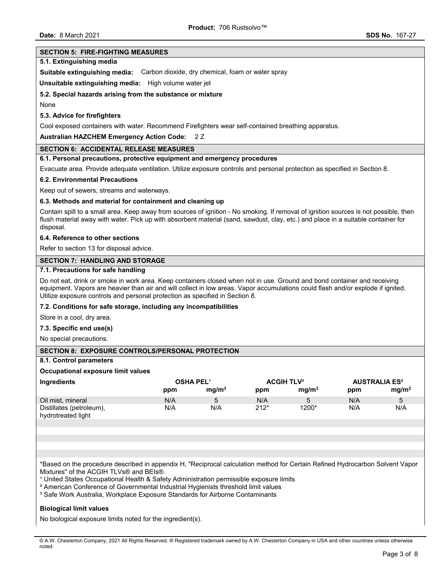#### **SECTION 5: FIRE-FIGHTING MEASURES**

#### **5.1. Extinguishing media**

**Suitable extinguishing media:** Carbon dioxide, dry chemical, foam or water spray

**Unsuitable extinguishing media:** High volume water jet

#### **5.2. Special hazards arising from the substance or mixture**

None

#### **5.3. Advice for firefighters**

Cool exposed containers with water. Recommend Firefighters wear self-contained breathing apparatus.

#### **Australian HAZCHEM Emergency Action Code:** 2 Z

#### **SECTION 6: ACCIDENTAL RELEASE MEASURES**

#### **6.1. Personal precautions, protective equipment and emergency procedures**

Evacuate area. Provide adequate ventilation. Utilize exposure controls and personal protection as specified in Section 8.

#### **6.2. Environmental Precautions**

Keep out of sewers, streams and waterways.

#### **6.3. Methods and material for containment and cleaning up**

Contain spill to a small area. Keep away from sources of ignition - No smoking. If removal of ignition sources is not possible, then flush material away with water. Pick up with absorbent material (sand, sawdust, clay, etc.) and place in a suitable container for disposal.

#### **6.4. Reference to other sections**

Refer to section 13 for disposal advice.

## **SECTION 7: HANDLING AND STORAGE**

## **7.1. Precautions for safe handling**

Do not eat, drink or smoke in work area. Keep containers closed when not in use. Ground and bond container and receiving equipment. Vapors are heavier than air and will collect in low areas. Vapor accumulations could flash and/or explode if ignited. Utilize exposure controls and personal protection as specified in Section 8.

#### **7.2. Conditions for safe storage, including any incompatibilities**

Store in a cool, dry area.

#### **7.3. Specific end use(s)**

No special precautions.

#### **SECTION 8: EXPOSURE CONTROLS/PERSONAL PROTECTION**

## **8.1. Control parameters**

#### **Occupational exposure limit values**

| Ingredients                                    |     | <b>OSHA PEL<sup>1</sup></b> |        | <b>ACGIH TLV<sup>2</sup></b> |     | <b>AUSTRALIA ES<sup>3</sup></b> |
|------------------------------------------------|-----|-----------------------------|--------|------------------------------|-----|---------------------------------|
|                                                | ppm | mq/m <sup>3</sup>           | ppm    | mq/m <sup>3</sup>            | ppm | mq/m <sup>3</sup>               |
| Oil mist, mineral                              | N/A |                             | N/A    |                              | N/A | 5                               |
| Distillates (petroleum),<br>hydrotreated light | N/A | N/A                         | $212*$ | 1200*                        | N/A | N/A                             |

\*Based on the procedure described in appendix H, "Reciprocal calculation method for Certain Refined Hydrocarbon Solvent Vapor Mixtures" of the ACGIH TLVs® and BEIs®.

<sup>1</sup> United States Occupational Health & Safety Administration permissible exposure limits

² American Conference of Governmental Industrial Hygienists threshold limit values

<sup>3</sup> Safe Work Australia, Workplace Exposure Standards for Airborne Contaminants

#### **Biological limit values**

No biological exposure limits noted for the ingredient(s).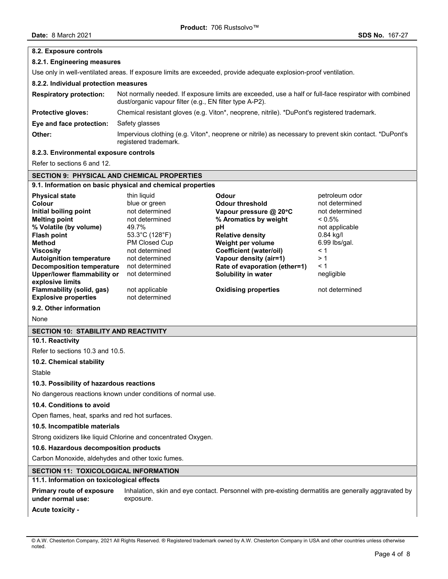| 8.2. Exposure controls                                                                                            |                                                                                                                                                                   |                                                                                                      |                             |  |
|-------------------------------------------------------------------------------------------------------------------|-------------------------------------------------------------------------------------------------------------------------------------------------------------------|------------------------------------------------------------------------------------------------------|-----------------------------|--|
| 8.2.1. Engineering measures                                                                                       |                                                                                                                                                                   |                                                                                                      |                             |  |
| Use only in well-ventilated areas. If exposure limits are exceeded, provide adequate explosion-proof ventilation. |                                                                                                                                                                   |                                                                                                      |                             |  |
| 8.2.2. Individual protection measures                                                                             |                                                                                                                                                                   |                                                                                                      |                             |  |
| <b>Respiratory protection:</b>                                                                                    | Not normally needed. If exposure limits are exceeded, use a half or full-face respirator with combined<br>dust/organic vapour filter (e.g., EN filter type A-P2). |                                                                                                      |                             |  |
| Protective gloves:                                                                                                |                                                                                                                                                                   | Chemical resistant gloves (e.g. Viton*, neoprene, nitrile). *DuPont's registered trademark.          |                             |  |
| Eye and face protection:                                                                                          | Safety glasses                                                                                                                                                    |                                                                                                      |                             |  |
| Other:                                                                                                            | Impervious clothing (e.g. Viton*, neoprene or nitrile) as necessary to prevent skin contact. *DuPont's<br>registered trademark.                                   |                                                                                                      |                             |  |
| 8.2.3. Environmental exposure controls                                                                            |                                                                                                                                                                   |                                                                                                      |                             |  |
| Refer to sections 6 and 12.                                                                                       |                                                                                                                                                                   |                                                                                                      |                             |  |
| <b>SECTION 9: PHYSICAL AND CHEMICAL PROPERTIES</b>                                                                |                                                                                                                                                                   |                                                                                                      |                             |  |
| 9.1. Information on basic physical and chemical properties                                                        |                                                                                                                                                                   |                                                                                                      |                             |  |
| <b>Physical state</b>                                                                                             | thin liquid                                                                                                                                                       | <b>Odour</b>                                                                                         | petroleum odor              |  |
| Colour                                                                                                            | blue or green                                                                                                                                                     | <b>Odour threshold</b>                                                                               | not determined              |  |
| Initial boiling point                                                                                             | not determined                                                                                                                                                    | Vapour pressure @ 20°C                                                                               | not determined              |  |
| <b>Melting point</b>                                                                                              | not determined<br>49.7%                                                                                                                                           | % Aromatics by weight                                                                                | $< 0.5\%$                   |  |
| % Volatile (by volume)<br><b>Flash point</b>                                                                      | 53.3°C (128°F)                                                                                                                                                    | pH<br><b>Relative density</b>                                                                        | not applicable<br>0.84 kg/l |  |
| <b>Method</b>                                                                                                     | PM Closed Cup                                                                                                                                                     | Weight per volume                                                                                    | 6.99 lbs/gal.               |  |
| <b>Viscosity</b>                                                                                                  | not determined                                                                                                                                                    | <b>Coefficient (water/oil)</b>                                                                       | $\leq 1$                    |  |
| <b>Autoignition temperature</b>                                                                                   | not determined                                                                                                                                                    | Vapour density (air=1)                                                                               | >1                          |  |
| <b>Decomposition temperature</b>                                                                                  | not determined                                                                                                                                                    | Rate of evaporation (ether=1)                                                                        | $\leq 1$                    |  |
| <b>Upper/lower flammability or</b>                                                                                | not determined                                                                                                                                                    | Solubility in water                                                                                  | negligible                  |  |
| explosive limits<br>Flammability (solid, gas)                                                                     | not applicable                                                                                                                                                    | <b>Oxidising properties</b>                                                                          | not determined              |  |
| <b>Explosive properties</b>                                                                                       | not determined                                                                                                                                                    |                                                                                                      |                             |  |
| 9.2. Other information                                                                                            |                                                                                                                                                                   |                                                                                                      |                             |  |
| None                                                                                                              |                                                                                                                                                                   |                                                                                                      |                             |  |
| <b>SECTION 10: STABILITY AND REACTIVITY</b>                                                                       |                                                                                                                                                                   |                                                                                                      |                             |  |
| 10.1. Reactivity                                                                                                  |                                                                                                                                                                   |                                                                                                      |                             |  |
| Refer to sections 10.3 and 10.5.                                                                                  |                                                                                                                                                                   |                                                                                                      |                             |  |
| 10.2. Chemical stability                                                                                          |                                                                                                                                                                   |                                                                                                      |                             |  |
| Stable                                                                                                            |                                                                                                                                                                   |                                                                                                      |                             |  |
| 10.3. Possibility of hazardous reactions                                                                          |                                                                                                                                                                   |                                                                                                      |                             |  |
| No dangerous reactions known under conditions of normal use.                                                      |                                                                                                                                                                   |                                                                                                      |                             |  |
| 10.4. Conditions to avoid                                                                                         |                                                                                                                                                                   |                                                                                                      |                             |  |
| Open flames, heat, sparks and red hot surfaces.                                                                   |                                                                                                                                                                   |                                                                                                      |                             |  |
| 10.5. Incompatible materials                                                                                      |                                                                                                                                                                   |                                                                                                      |                             |  |
| Strong oxidizers like liquid Chlorine and concentrated Oxygen.                                                    |                                                                                                                                                                   |                                                                                                      |                             |  |
| 10.6. Hazardous decomposition products                                                                            |                                                                                                                                                                   |                                                                                                      |                             |  |
| Carbon Monoxide, aldehydes and other toxic fumes.                                                                 |                                                                                                                                                                   |                                                                                                      |                             |  |
| SECTION 11: TOXICOLOGICAL INFORMATION                                                                             |                                                                                                                                                                   |                                                                                                      |                             |  |
| 11.1. Information on toxicological effects                                                                        |                                                                                                                                                                   |                                                                                                      |                             |  |
| Primary route of exposure<br>under normal use:                                                                    | exposure.                                                                                                                                                         | Inhalation, skin and eye contact. Personnel with pre-existing dermatitis are generally aggravated by |                             |  |
| <b>Acute toxicity -</b>                                                                                           |                                                                                                                                                                   |                                                                                                      |                             |  |

<sup>©</sup> A.W. Chesterton Company, 2021 All Rights Reserved. ® Registered trademark owned by A.W. Chesterton Company in USA and other countries unless otherwise noted.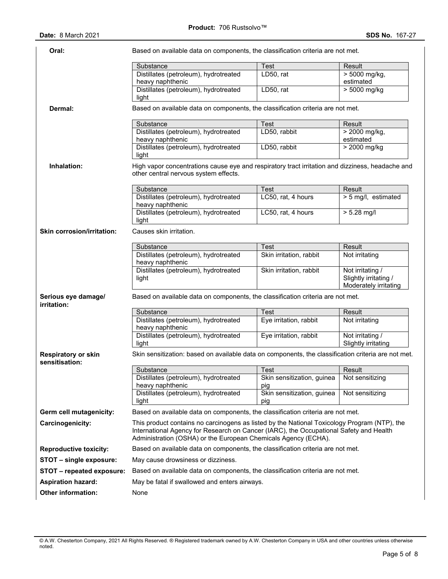| Oral:                                        | Based on available data on components, the classification criteria are not met.                                                                                                                                                                          |                                   |                                                                    |  |  |
|----------------------------------------------|----------------------------------------------------------------------------------------------------------------------------------------------------------------------------------------------------------------------------------------------------------|-----------------------------------|--------------------------------------------------------------------|--|--|
|                                              | Substance                                                                                                                                                                                                                                                | Test                              | Result                                                             |  |  |
|                                              | Distillates (petroleum), hydrotreated<br>heavy naphthenic                                                                                                                                                                                                | LD50, rat                         | $> 5000$ mg/kg,<br>estimated                                       |  |  |
|                                              | Distillates (petroleum), hydrotreated<br>light                                                                                                                                                                                                           | LD50, rat                         | > 5000 mg/kg                                                       |  |  |
| Dermal:                                      | Based on available data on components, the classification criteria are not met.                                                                                                                                                                          |                                   |                                                                    |  |  |
|                                              | Substance                                                                                                                                                                                                                                                | Test                              | Result                                                             |  |  |
|                                              | Distillates (petroleum), hydrotreated<br>heavy naphthenic                                                                                                                                                                                                | LD50, rabbit                      | > 2000 mg/kg,<br>estimated                                         |  |  |
|                                              | Distillates (petroleum), hydrotreated<br>light                                                                                                                                                                                                           | LD50, rabbit                      | > 2000 mg/kg                                                       |  |  |
| Inhalation:                                  | High vapor concentrations cause eye and respiratory tract irritation and dizziness, headache and<br>other central nervous system effects.                                                                                                                |                                   |                                                                    |  |  |
|                                              | Substance                                                                                                                                                                                                                                                | Test                              | Result                                                             |  |  |
|                                              | Distillates (petroleum), hydrotreated<br>heavy naphthenic                                                                                                                                                                                                | LC50, rat, 4 hours                | > 5 mg/l, estimated                                                |  |  |
|                                              | Distillates (petroleum), hydrotreated<br>light                                                                                                                                                                                                           | LC50, rat, 4 hours                | $> 5.28$ mg/l                                                      |  |  |
| <b>Skin corrosion/irritation:</b>            | Causes skin irritation.                                                                                                                                                                                                                                  |                                   |                                                                    |  |  |
|                                              | Substance                                                                                                                                                                                                                                                | Test                              | Result                                                             |  |  |
|                                              | Distillates (petroleum), hydrotreated<br>heavy naphthenic                                                                                                                                                                                                | Skin irritation, rabbit           | Not irritating                                                     |  |  |
|                                              | Distillates (petroleum), hydrotreated<br>light                                                                                                                                                                                                           | Skin irritation, rabbit           | Not irritating /<br>Slightly irritating /<br>Moderately irritating |  |  |
| Serious eye damage/<br>irritation:           | Based on available data on components, the classification criteria are not met.                                                                                                                                                                          |                                   |                                                                    |  |  |
|                                              | Substance                                                                                                                                                                                                                                                | Test                              | Result                                                             |  |  |
|                                              | Distillates (petroleum), hydrotreated<br>heavy naphthenic                                                                                                                                                                                                | Eye irritation, rabbit            | Not irritating                                                     |  |  |
|                                              | Distillates (petroleum), hydrotreated<br>light                                                                                                                                                                                                           | Eye irritation, rabbit            | Not irritating /<br>Slightly irritating                            |  |  |
| <b>Respiratory or skin</b><br>sensitisation: | Skin sensitization: based on available data on components, the classification criteria are not met.                                                                                                                                                      |                                   |                                                                    |  |  |
|                                              | Substance                                                                                                                                                                                                                                                | Test                              | Result                                                             |  |  |
|                                              | Distillates (petroleum), hydrotreated<br>heavy naphthenic                                                                                                                                                                                                | Skin sensitization, guinea<br>pig | Not sensitizing                                                    |  |  |
|                                              | Distillates (petroleum), hydrotreated<br>light                                                                                                                                                                                                           | Skin sensitization, guinea<br>pig | Not sensitizing                                                    |  |  |
| Germ cell mutagenicity:                      | Based on available data on components, the classification criteria are not met.                                                                                                                                                                          |                                   |                                                                    |  |  |
| Carcinogenicity:                             | This product contains no carcinogens as listed by the National Toxicology Program (NTP), the<br>International Agency for Research on Cancer (IARC), the Occupational Safety and Health<br>Administration (OSHA) or the European Chemicals Agency (ECHA). |                                   |                                                                    |  |  |
| <b>Reproductive toxicity:</b>                | Based on available data on components, the classification criteria are not met.                                                                                                                                                                          |                                   |                                                                    |  |  |
| STOT - single exposure:                      | May cause drowsiness or dizziness.                                                                                                                                                                                                                       |                                   |                                                                    |  |  |
| STOT - repeated exposure:                    | Based on available data on components, the classification criteria are not met.                                                                                                                                                                          |                                   |                                                                    |  |  |
| <b>Aspiration hazard:</b>                    | May be fatal if swallowed and enters airways.                                                                                                                                                                                                            |                                   |                                                                    |  |  |
| Other information:                           | None                                                                                                                                                                                                                                                     |                                   |                                                                    |  |  |
|                                              |                                                                                                                                                                                                                                                          |                                   |                                                                    |  |  |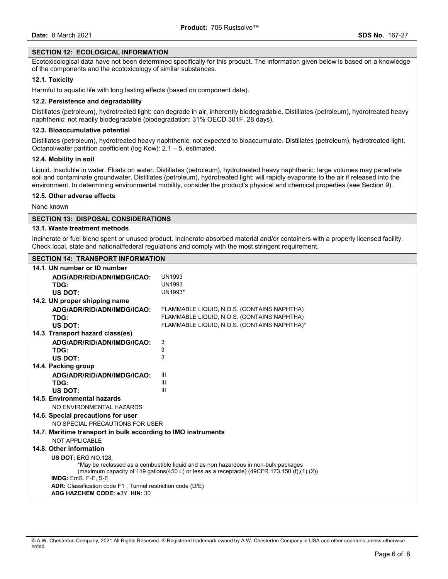## **SECTION 12: ECOLOGICAL INFORMATION**

Ecotoxicological data have not been determined specifically for this product. The information given below is based on a knowledge of the components and the ecotoxicology of similar substances.

## **12.1. Toxicity**

Harmful to aquatic life with long lasting effects (based on component data).

## **12.2. Persistence and degradability**

Distillates (petroleum), hydrotreated light: can degrade in air, inherently biodegradable. Distillates (petroleum), hydrotreated heavy naphthenic: not readily biodegradable (biodegradation: 31% OECD 301F, 28 days).

## **12.3. Bioaccumulative potential**

Distillates (petroleum), hydrotreated heavy naphthenic: not expected to bioaccumulate. Distillates (petroleum), hydrotreated light, Octanol/water partition coefficient (log Kow): 2.1 – 5, estimated.

## **12.4. Mobility in soil**

Liquid. Insoluble in water. Floats on water. Distillates (petroleum), hydrotreated heavy naphthenic: large volumes may penetrate soil and contaminate groundwater. Distillates (petroleum), hydrotreated light: will rapidly evaporate to the air if released into the environment. In determining environmental mobility, consider the product's physical and chemical properties (see Section 9).

## **12.5. Other adverse effects**

None known

## **SECTION 13: DISPOSAL CONSIDERATIONS**

## **13.1. Waste treatment methods**

Incinerate or fuel blend spent or unused product. Incinerate absorbed material and/or containers with a properly licensed facility. Check local, state and national/federal regulations and comply with the most stringent requirement.

## **SECTION 14: TRANSPORT INFORMATION**

| 14.1. UN number or ID number                                                                                        |                                              |  |
|---------------------------------------------------------------------------------------------------------------------|----------------------------------------------|--|
| ADG/ADR/RID/ADN/IMDG/ICAO:                                                                                          | <b>UN1993</b>                                |  |
| TDG:                                                                                                                | <b>UN1993</b>                                |  |
| US DOT:                                                                                                             | UN1993*                                      |  |
| 14.2. UN proper shipping name                                                                                       |                                              |  |
| ADG/ADR/RID/ADN/IMDG/ICAO:                                                                                          | FLAMMABLE LIQUID, N.O.S. (CONTAINS NAPHTHA)  |  |
| TDG:                                                                                                                | FLAMMABLE LIQUID, N.O.S. (CONTAINS NAPHTHA)  |  |
| US DOT:                                                                                                             | FLAMMABLE LIQUID, N.O.S. (CONTAINS NAPHTHA)* |  |
| 14.3. Transport hazard class(es)                                                                                    |                                              |  |
| ADG/ADR/RID/ADN/IMDG/ICAO:                                                                                          | 3                                            |  |
| TDG:                                                                                                                | 3                                            |  |
| US DOT:                                                                                                             | 3                                            |  |
| 14.4. Packing group                                                                                                 |                                              |  |
| ADG/ADR/RID/ADN/IMDG/ICAO:                                                                                          | Ш                                            |  |
| TDG:                                                                                                                | III                                          |  |
| US DOT:                                                                                                             | Ш                                            |  |
| 14.5. Environmental hazards                                                                                         |                                              |  |
| NO ENVIRONMENTAL HAZARDS                                                                                            |                                              |  |
| 14.6. Special precautions for user                                                                                  |                                              |  |
| NO SPECIAL PRECAUTIONS FOR USER                                                                                     |                                              |  |
| 14.7. Maritime transport in bulk according to IMO instruments                                                       |                                              |  |
| NOT APPLICABLE                                                                                                      |                                              |  |
| 14.8. Other information                                                                                             |                                              |  |
| <b>US DOT: ERG NO.128.</b>                                                                                          |                                              |  |
| *May be reclassed as a combustible liquid and as non hazardous in non-bulk packages                                 |                                              |  |
| (maximum capacity of 119 gallons(450 L) or less as a receptacle) (49CFR 173.150 (f),(1),(2))<br>IMDG: EmS. F-E, S-E |                                              |  |
| <b>ADR:</b> Classification code F1, Tunnel restriction code (D/E)                                                   |                                              |  |
| ADG HAZCHEM CODE: •3Y HIN: 30                                                                                       |                                              |  |
|                                                                                                                     |                                              |  |

<sup>©</sup> A.W. Chesterton Company, 2021 All Rights Reserved. ® Registered trademark owned by A.W. Chesterton Company in USA and other countries unless otherwise noted.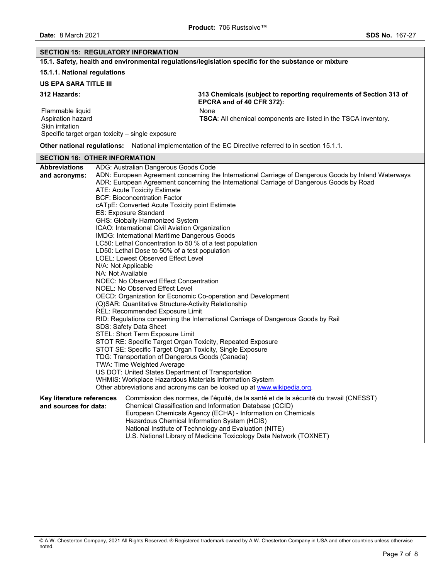| <b>SECTION 15: REGULATORY INFORMATION</b>                                                                    |                                                                                                                                                                                                                                                                                                                                                                                                                                                                                                                                                                                                                                                                                                                                                                                                                                                                                                                                                                                                                                                                                                                                                                                                                                                                                                                                                                                                                                                                                                                                       |  |  |  |  |
|--------------------------------------------------------------------------------------------------------------|---------------------------------------------------------------------------------------------------------------------------------------------------------------------------------------------------------------------------------------------------------------------------------------------------------------------------------------------------------------------------------------------------------------------------------------------------------------------------------------------------------------------------------------------------------------------------------------------------------------------------------------------------------------------------------------------------------------------------------------------------------------------------------------------------------------------------------------------------------------------------------------------------------------------------------------------------------------------------------------------------------------------------------------------------------------------------------------------------------------------------------------------------------------------------------------------------------------------------------------------------------------------------------------------------------------------------------------------------------------------------------------------------------------------------------------------------------------------------------------------------------------------------------------|--|--|--|--|
| 15.1. Safety, health and environmental regulations/legislation specific for the substance or mixture         |                                                                                                                                                                                                                                                                                                                                                                                                                                                                                                                                                                                                                                                                                                                                                                                                                                                                                                                                                                                                                                                                                                                                                                                                                                                                                                                                                                                                                                                                                                                                       |  |  |  |  |
|                                                                                                              | 15.1.1. National regulations                                                                                                                                                                                                                                                                                                                                                                                                                                                                                                                                                                                                                                                                                                                                                                                                                                                                                                                                                                                                                                                                                                                                                                                                                                                                                                                                                                                                                                                                                                          |  |  |  |  |
| <b>US EPA SARA TITLE III</b>                                                                                 |                                                                                                                                                                                                                                                                                                                                                                                                                                                                                                                                                                                                                                                                                                                                                                                                                                                                                                                                                                                                                                                                                                                                                                                                                                                                                                                                                                                                                                                                                                                                       |  |  |  |  |
| 312 Hazards:                                                                                                 | 313 Chemicals (subject to reporting requirements of Section 313 of<br>EPCRA and of 40 CFR 372):                                                                                                                                                                                                                                                                                                                                                                                                                                                                                                                                                                                                                                                                                                                                                                                                                                                                                                                                                                                                                                                                                                                                                                                                                                                                                                                                                                                                                                       |  |  |  |  |
| Flammable liquid<br>Aspiration hazard<br>Skin irritation<br>Specific target organ toxicity - single exposure | None<br>TSCA: All chemical components are listed in the TSCA inventory.                                                                                                                                                                                                                                                                                                                                                                                                                                                                                                                                                                                                                                                                                                                                                                                                                                                                                                                                                                                                                                                                                                                                                                                                                                                                                                                                                                                                                                                               |  |  |  |  |
| Other national regulations: National implementation of the EC Directive referred to in section 15.1.1.       |                                                                                                                                                                                                                                                                                                                                                                                                                                                                                                                                                                                                                                                                                                                                                                                                                                                                                                                                                                                                                                                                                                                                                                                                                                                                                                                                                                                                                                                                                                                                       |  |  |  |  |
| <b>SECTION 16: OTHER INFORMATION</b>                                                                         |                                                                                                                                                                                                                                                                                                                                                                                                                                                                                                                                                                                                                                                                                                                                                                                                                                                                                                                                                                                                                                                                                                                                                                                                                                                                                                                                                                                                                                                                                                                                       |  |  |  |  |
| <b>Abbreviations</b><br>and acronyms:                                                                        | ADG: Australian Dangerous Goods Code<br>ADN: European Agreement concerning the International Carriage of Dangerous Goods by Inland Waterways<br>ADR: European Agreement concerning the International Carriage of Dangerous Goods by Road<br><b>ATE: Acute Toxicity Estimate</b><br><b>BCF: Bioconcentration Factor</b><br>cATpE: Converted Acute Toxicity point Estimate<br>ES: Exposure Standard<br>GHS: Globally Harmonized System<br>ICAO: International Civil Aviation Organization<br>IMDG: International Maritime Dangerous Goods<br>LC50: Lethal Concentration to 50 % of a test population<br>LD50: Lethal Dose to 50% of a test population<br>LOEL: Lowest Observed Effect Level<br>N/A: Not Applicable<br>NA: Not Available<br>NOEC: No Observed Effect Concentration<br>NOEL: No Observed Effect Level<br>OECD: Organization for Economic Co-operation and Development<br>(Q)SAR: Quantitative Structure-Activity Relationship<br>REL: Recommended Exposure Limit<br>RID: Regulations concerning the International Carriage of Dangerous Goods by Rail<br>SDS: Safety Data Sheet<br>STEL: Short Term Exposure Limit<br>STOT RE: Specific Target Organ Toxicity, Repeated Exposure<br>STOT SE: Specific Target Organ Toxicity, Single Exposure<br>TDG: Transportation of Dangerous Goods (Canada)<br>TWA: Time Weighted Average<br>US DOT: United States Department of Transportation<br>WHMIS: Workplace Hazardous Materials Information System<br>Other abbreviations and acronyms can be looked up at www.wikipedia.org. |  |  |  |  |
| Key literature references<br>and sources for data:                                                           | Commission des normes, de l'équité, de la santé et de la sécurité du travail (CNESST)<br>Chemical Classification and Information Database (CCID)<br>European Chemicals Agency (ECHA) - Information on Chemicals<br>Hazardous Chemical Information System (HCIS)<br>National Institute of Technology and Evaluation (NITE)<br>U.S. National Library of Medicine Toxicology Data Network (TOXNET)                                                                                                                                                                                                                                                                                                                                                                                                                                                                                                                                                                                                                                                                                                                                                                                                                                                                                                                                                                                                                                                                                                                                       |  |  |  |  |

<sup>©</sup> A.W. Chesterton Company, 2021 All Rights Reserved. ® Registered trademark owned by A.W. Chesterton Company in USA and other countries unless otherwise noted.